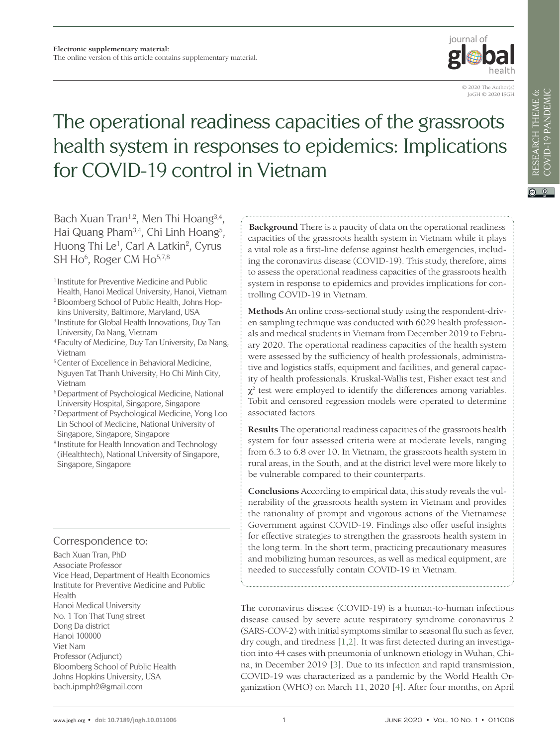

# The operational readiness capacities of the grassroots health system in responses to epidemics: Implications for COVID-19 control in Vietnam

Bach Xuan Tran<sup>1,2</sup>, Men Thi Hoang<sup>3,4</sup>, Hai Quang Pham<sup>3,4</sup>, Chi Linh Hoang<sup>5</sup>, Huong Thi Le<sup>1</sup>, Carl A Latkin<sup>2</sup>, Cyrus SH Ho<sup>6</sup>, Roger CM Ho<sup>5,7,8</sup>

- 1 Institute for Preventive Medicine and Public
- Health, Hanoi Medical University, Hanoi, Vietnam <sup>2</sup> Bloomberg School of Public Health, Johns Hop-
- kins University, Baltimore, Maryland, USA
- 3 Institute for Global Health Innovations, Duy Tan University, Da Nang, Vietnam
- 4 Faculty of Medicine, Duy Tan University, Da Nang, Vietnam
- 5 Center of Excellence in Behavioral Medicine, Nguyen Tat Thanh University, Ho Chi Minh City, Vietnam
- 6 Department of Psychological Medicine, National University Hospital, Singapore, Singapore
- 7 Department of Psychological Medicine, Yong Loo Lin School of Medicine, National University of Singapore, Singapore, Singapore
- 8 Institute for Health Innovation and Technology (iHealthtech), National University of Singapore, Singapore, Singapore

### Correspondence to:

Bach Xuan Tran, PhD Associate Professor Vice Head, Department of Health Economics Institute for Preventive Medicine and Public Health Hanoi Medical University No. 1 Ton That Tung street Dong Da district Hanoi 100000 Viet Nam Professor (Adjunct) Bloomberg School of Public Health Johns Hopkins University, USA bach.ipmph2@gmail.com

**Background** There is a paucity of data on the operational readiness capacities of the grassroots health system in Vietnam while it plays a vital role as a first-line defense against health emergencies, including the coronavirus disease (COVID-19). This study, therefore, aims to assess the operational readiness capacities of the grassroots health system in response to epidemics and provides implications for controlling COVID-19 in Vietnam.

**Methods** An online cross-sectional study using the respondent-driven sampling technique was conducted with 6029 health professionals and medical students in Vietnam from December 2019 to February 2020. The operational readiness capacities of the health system were assessed by the sufficiency of health professionals, administrative and logistics staffs, equipment and facilities, and general capacity of health professionals. Kruskal-Wallis test, Fisher exact test and  $\chi^2$  test were employed to identify the differences among variables. Tobit and censored regression models were operated to determine associated factors.

**Results** The operational readiness capacities of the grassroots health system for four assessed criteria were at moderate levels, ranging from 6.3 to 6.8 over 10. In Vietnam, the grassroots health system in rural areas, in the South, and at the district level were more likely to be vulnerable compared to their counterparts.

**Conclusions** According to empirical data, this study reveals the vulnerability of the grassroots health system in Vietnam and provides the rationality of prompt and vigorous actions of the Vietnamese Government against COVID-19. Findings also offer useful insights for effective strategies to strengthen the grassroots health system in the long term. In the short term, practicing precautionary measures and mobilizing human resources, as well as medical equipment, are needed to successfully contain COVID-19 in Vietnam.

The coronavirus disease (COVID-19) is a human-to-human infectious disease caused by severe acute respiratory syndrome coronavirus 2 (SARS-COV-2) with initial symptoms similar to seasonal flu such as fever, dry cough, and tiredness [[1,](#page-6-0)[2](#page-6-1)]. It was first detected during an investigation into 44 cases with pneumonia of unknown etiology in Wuhan, China, in December 2019 [\[3\]](#page-6-2). Due to its infection and rapid transmission, COVID-19 was characterized as a pandemic by the World Health Organization (WHO) on March 11, 2020 [[4](#page-6-3)]. After four months, on April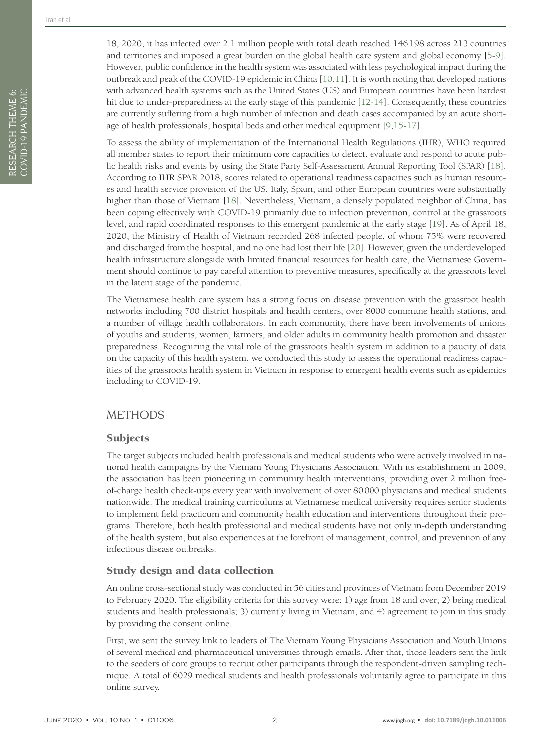RESEARCH THEME 6: COVID-19 PANDEMIC

RESEARCH THEME 6:<br>COVID-19 PANDEMIC

18, 2020, it has infected over 2.1 million people with total death reached 146198 across 213 countries and territories and imposed a great burden on the global health care system and global economy [[5](#page-6-4)[-9](#page-6-5)]. However, public confidence in the health system was associated with less psychological impact during the outbreak and peak of the COVID-19 epidemic in China [\[10](#page-6-6)[,11\]](#page-6-7). It is worth noting that developed nations with advanced health systems such as the United States (US) and European countries have been hardest hit due to under-preparedness at the early stage of this pandemic [[12](#page-6-8)-[14](#page-6-9)]. Consequently, these countries are currently suffering from a high number of infection and death cases accompanied by an acute shortage of health professionals, hospital beds and other medical equipment [[9,](#page-6-5)[15](#page-6-10)-[17](#page-6-11)].

To assess the ability of implementation of the International Health Regulations (IHR), WHO required all member states to report their minimum core capacities to detect, evaluate and respond to acute public health risks and events by using the State Party Self-Assessment Annual Reporting Tool (SPAR) [[18](#page-6-12)]. According to IHR SPAR 2018, scores related to operational readiness capacities such as human resources and health service provision of the US, Italy, Spain, and other European countries were substantially higher than those of Vietnam [[18](#page-6-12)]. Nevertheless, Vietnam, a densely populated neighbor of China, has been coping effectively with COVID-19 primarily due to infection prevention, control at the grassroots level, and rapid coordinated responses to this emergent pandemic at the early stage [\[19](#page-6-13)]. As of April 18, 2020, the Ministry of Health of Vietnam recorded 268 infected people, of whom 75% were recovered and discharged from the hospital, and no one had lost their life [[20](#page-7-0)]. However, given the underdeveloped health infrastructure alongside with limited financial resources for health care, the Vietnamese Government should continue to pay careful attention to preventive measures, specifically at the grassroots level in the latent stage of the pandemic.

The Vietnamese health care system has a strong focus on disease prevention with the grassroot health networks including 700 district hospitals and health centers, over 8000 commune health stations, and a number of village health collaborators. In each community, there have been involvements of unions of youths and students, women, farmers, and older adults in community health promotion and disaster preparedness. Recognizing the vital role of the grassroots health system in addition to a paucity of data on the capacity of this health system, we conducted this study to assess the operational readiness capacities of the grassroots health system in Vietnam in response to emergent health events such as epidemics including to COVID-19.

#### **METHODS**

#### **Subjects**

The target subjects included health professionals and medical students who were actively involved in national health campaigns by the Vietnam Young Physicians Association. With its establishment in 2009, the association has been pioneering in community health interventions, providing over 2 million freeof-charge health check-ups every year with involvement of over 80000 physicians and medical students nationwide. The medical training curriculums at Vietnamese medical university requires senior students to implement field practicum and community health education and interventions throughout their programs. Therefore, both health professional and medical students have not only in-depth understanding of the health system, but also experiences at the forefront of management, control, and prevention of any infectious disease outbreaks.

#### Study design and data collection

An online cross-sectional study was conducted in 56 cities and provinces of Vietnam from December 2019 to February 2020. The eligibility criteria for this survey were: 1) age from 18 and over; 2) being medical students and health professionals; 3) currently living in Vietnam, and 4) agreement to join in this study by providing the consent online.

First, we sent the survey link to leaders of The Vietnam Young Physicians Association and Youth Unions of several medical and pharmaceutical universities through emails. After that, those leaders sent the link to the seeders of core groups to recruit other participants through the respondent-driven sampling technique. A total of 6029 medical students and health professionals voluntarily agree to participate in this online survey.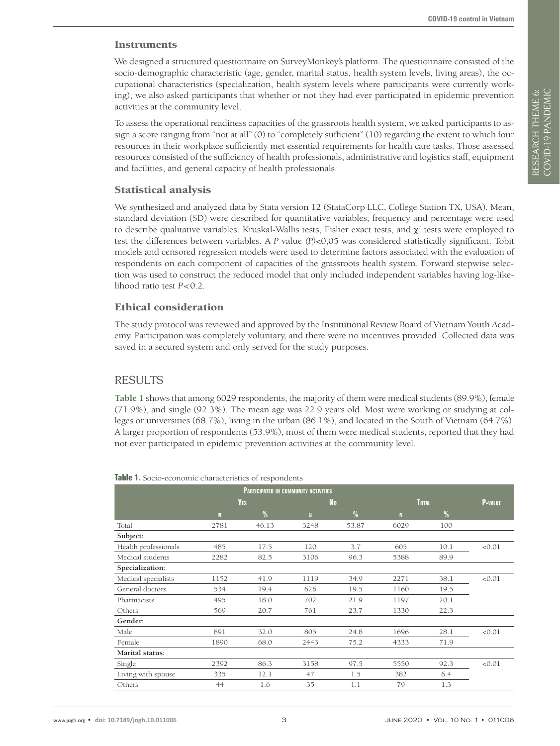#### **Instruments**

We designed a structured questionnaire on SurveyMonkey's platform. The questionnaire consisted of the socio-demographic characteristic (age, gender, marital status, health system levels, living areas), the occupational characteristics (specialization, health system levels where participants were currently working), we also asked participants that whether or not they had ever participated in epidemic prevention activities at the community level.

To assess the operational readiness capacities of the grassroots health system, we asked participants to assign a score ranging from "not at all" (0) to "completely sufficient" (10) regarding the extent to which four resources in their workplace sufficiently met essential requirements for health care tasks. Those assessed resources consisted of the sufficiency of health professionals, administrative and logistics staff, equipment and facilities, and general capacity of health professionals.

#### Statistical analysis

We synthesized and analyzed data by Stata version 12 (StataCorp LLC, College Station TX, USA). Mean, standard deviation (SD) were described for quantitative variables; frequency and percentage were used to describe qualitative variables. Kruskal-Wallis tests, Fisher exact tests, and  $\chi^2$  tests were employed to test the differences between variables. A *P* value *(P)*<0,05 was considered statistically significant. Tobit models and censored regression models were used to determine factors associated with the evaluation of respondents on each component of capacities of the grassroots health system. Forward stepwise selection was used to construct the reduced model that only included independent variables having log-likelihood ratio test *P*<0.2.

#### Ethical consideration

The study protocol was reviewed and approved by the Institutional Review Board of Vietnam Youth Academy. Participation was completely voluntary, and there were no incentives provided. Collected data was saved in a secured system and only served for the study purposes.

#### RESULTS

**[Table](#page-2-0) 1** shows that among 6029 respondents, the majority of them were medical students (89.9%), female (71.9%), and single (92.3%). The mean age was 22.9 years old. Most were working or studying at colleges or universities (68.7%), living in the urban (86.1%), and located in the South of Vietnam (64.7%). A larger proportion of respondents (53.9%), most of them were medical students, reported that they had not ever participated in epidemic prevention activities at the community level.

|                      |      | <b>YES</b>    |      | <b>No</b>     |      | <b>TOTAL</b>  | <b>P-VALUE</b> |
|----------------------|------|---------------|------|---------------|------|---------------|----------------|
|                      | N    | $\frac{0}{0}$ | N    | $\frac{0}{0}$ | N    | $\frac{0}{0}$ |                |
| Total                | 2781 | 46.13         | 3248 | 53.87         | 6029 | 100           |                |
| Subject:             |      |               |      |               |      |               |                |
| Health professionals | 485  | 17.5          | 120  | 3.7           | 605  | 10.1          | < 0.01         |
| Medical students     | 2282 | 82.5          | 3106 | 96.3          | 5388 | 89.9          |                |
| Specialization:      |      |               |      |               |      |               |                |
| Medical specialists  | 1152 | 41.9          | 1119 | 34.9          | 2271 | 38.1          | < 0.01         |
| General doctors      | 534  | 19.4          | 626  | 19.5          | 1160 | 19.5          |                |
| Pharmacists          | 495  | 18.0          | 702  | 21.9          | 1197 | 20.1          |                |
| Others               | 569  | 20.7          | 761  | 23.7          | 1330 | 22.3          |                |
| Gender:              |      |               |      |               |      |               |                |
| Male                 | 891  | 32.0          | 805  | 24.8          | 1696 | 28.1          | < 0.01         |
| Female               | 1890 | 68.0          | 2443 | 75.2          | 4333 | 71.9          |                |
| Marital status:      |      |               |      |               |      |               |                |
| Single               | 2392 | 86.3          | 3158 | 97.5          | 5550 | 92.3          | < 0.01         |
| Living with spouse   | 335  | 12.1          | 47   | 1.5           | 382  | 6.4           |                |
| Others               | 44   | 1.6           | 35   | 1.1           | 79   | 1.3           |                |

#### <span id="page-2-0"></span>**Table 1.** Socio-economic characteristics of respondents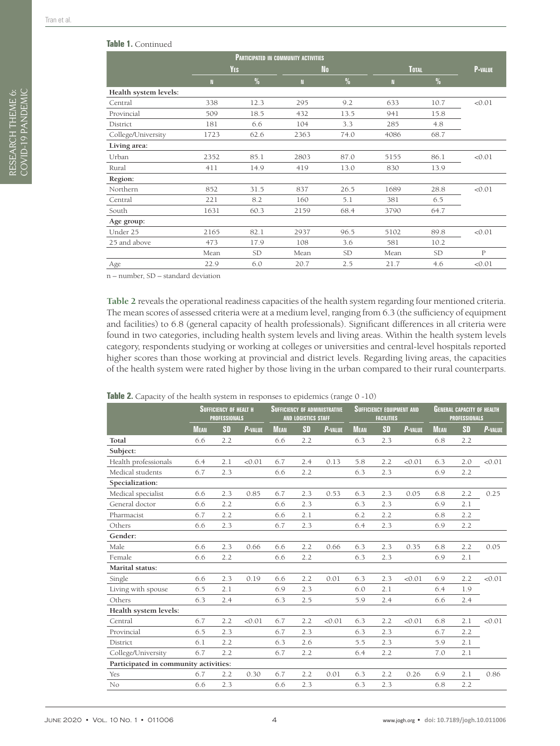|  |  | <b>Table 1. Continued</b> |
|--|--|---------------------------|
|--|--|---------------------------|

|                       | <b>PARTICIPATED IN COMMUNITY ACTIVITIES</b> |            |      |               |              |               |                |  |  |  |
|-----------------------|---------------------------------------------|------------|------|---------------|--------------|---------------|----------------|--|--|--|
|                       |                                             | <b>YES</b> |      | <b>No</b>     |              | <b>TOTAL</b>  | <b>P-VALUE</b> |  |  |  |
|                       | $\mathbb{N}$                                | $\%$       | N    | $\frac{0}{0}$ | $\mathbf{N}$ | $\frac{0}{0}$ |                |  |  |  |
| Health system levels: |                                             |            |      |               |              |               |                |  |  |  |
| Central               | 338                                         | 12.3       | 295  | 9.2           | 633          | 10.7          | < 0.01         |  |  |  |
| Provincial            | 509                                         | 18.5       | 432  | 13.5          | 941          | 15.8          |                |  |  |  |
| District              | 181                                         | 6.6        | 104  | 3.3           | 285          | 4.8           |                |  |  |  |
| College/University    | 1723                                        | 62.6       | 2363 | 74.0          | 4086         | 68.7          |                |  |  |  |
| Living area:          |                                             |            |      |               |              |               |                |  |  |  |
| Urban                 | 2352                                        | 85.1       | 2803 | 87.0          | 5155         | 86.1          | < 0.01         |  |  |  |
| Rural                 | 411                                         | 14.9       | 419  | 13.0          | 830          | 13.9          |                |  |  |  |
| Region:               |                                             |            |      |               |              |               |                |  |  |  |
| Northern              | 852                                         | 31.5       | 837  | 26.5          | 1689         | 28.8          | < 0.01         |  |  |  |
| Central               | 221                                         | 8.2        | 160  | 5.1           | 381          | 6.5           |                |  |  |  |
| South                 | 1631                                        | 60.3       | 2159 | 68.4          | 3790         | 64.7          |                |  |  |  |
| Age group:            |                                             |            |      |               |              |               |                |  |  |  |
| Under 25              | 2165                                        | 82.1       | 2937 | 96.5          | 5102         | 89.8          | < 0.01         |  |  |  |
| 25 and above          | 473                                         | 17.9       | 108  | 3.6           | 581          | 10.2          |                |  |  |  |
|                       | Mean                                        | <b>SD</b>  | Mean | <b>SD</b>     | Mean         | SD            | P              |  |  |  |
| Age                   | 22.9                                        | 6.0        | 20.7 | 2.5           | 21.7         | 4.6           | < 0.01         |  |  |  |

n – number, SD – standard deviation

**[Table](#page-3-0) 2** reveals the operational readiness capacities of the health system regarding four mentioned criteria. The mean scores of assessed criteria were at a medium level, ranging from 6.3 (the sufficiency of equipment and facilities) to 6.8 (general capacity of health professionals). Significant differences in all criteria were found in two categories, including health system levels and living areas. Within the health system levels category, respondents studying or working at colleges or universities and central-level hospitals reported higher scores than those working at provincial and district levels. Regarding living areas, the capacities of the health system were rated higher by those living in the urban compared to their rural counterparts.

<span id="page-3-0"></span>

| Table 2. Capacity of the health system in responses to epidemics (range 0 -10) |  |  |  |  |  |
|--------------------------------------------------------------------------------|--|--|--|--|--|
|--------------------------------------------------------------------------------|--|--|--|--|--|

|                                       | <b>SUFFICIENCY OF HEALT H</b><br><b>PROFESSIONALS</b> |           | <b>SUFFICIENCY OF ADMINISTRATIVE</b><br><b>AND LOGISTICS STAFF</b> |             |           | <b>SUFFICIENCY EQUIPMENT AND</b><br><b>FACILITIES</b> |             |           | <b>GENERAL CAPACITY OF HEALTH</b><br><b>PROFESSIONALS</b> |             |           |                |
|---------------------------------------|-------------------------------------------------------|-----------|--------------------------------------------------------------------|-------------|-----------|-------------------------------------------------------|-------------|-----------|-----------------------------------------------------------|-------------|-----------|----------------|
|                                       | <b>MEAN</b>                                           | <b>SD</b> | P-VALUE                                                            | <b>MEAN</b> | <b>SD</b> | <b>P-VALUE</b>                                        | <b>MEAN</b> | <b>SD</b> | P-VALUE                                                   | <b>MEAN</b> | <b>SD</b> | <b>P-VALUE</b> |
| Total                                 | 6.6                                                   | 2.2       |                                                                    | 6.6         | 2.2       |                                                       | 6.3         | 2.3       |                                                           | 6.8         | 2.2       |                |
| Subject:                              |                                                       |           |                                                                    |             |           |                                                       |             |           |                                                           |             |           |                |
| Health professionals                  | 6.4                                                   | 2.1       | < 0.01                                                             | 6.7         | 2.4       | 0.13                                                  | 5.8         | 2.2       | < 0.01                                                    | 6.3         | 2.0       | < 0.01         |
| Medical students                      | 6.7                                                   | 2.3       |                                                                    | 6.6         | 2.2       |                                                       | 6.3         | 2.3       |                                                           | 6.9         | 2.2       |                |
| Specialization:                       |                                                       |           |                                                                    |             |           |                                                       |             |           |                                                           |             |           |                |
| Medical specialist                    | 6.6                                                   | 2.3       | 0.85                                                               | 6.7         | 2.3       | 0.53                                                  | 6.3         | 2.3       | 0.05                                                      | 6.8         | 2.2       | 0.25           |
| General doctor                        | 6.6                                                   | 2.2       |                                                                    | 6.6         | 2.3       |                                                       | 6.3         | 2.3       |                                                           | 6.9         | 2.1       |                |
| Pharmacist                            | 6.7                                                   | 2.2       |                                                                    | 6.6         | 2.1       |                                                       | 6.2         | 2.2       |                                                           | 6.8         | 2.2       |                |
| Others                                | 6.6                                                   | 2.3       |                                                                    | 6.7         | 2.3       |                                                       | 6.4         | 2.3       |                                                           | 6.9         | 2.2       |                |
| Gender:                               |                                                       |           |                                                                    |             |           |                                                       |             |           |                                                           |             |           |                |
| Male                                  | 6.6                                                   | 2.3       | 0.66                                                               | 6.6         | 2.2       | 0.66                                                  | 6.3         | 2.3       | 0.35                                                      | 6.8         | 2.2       | 0.05           |
| Female                                | 6.6                                                   | 2.2       |                                                                    | 6.6         | 2.2       |                                                       | 6.3         | 2.3       |                                                           | 6.9         | 2.1       |                |
| Marital status:                       |                                                       |           |                                                                    |             |           |                                                       |             |           |                                                           |             |           |                |
| Single                                | 6.6                                                   | 2.3       | 0.19                                                               | 6.6         | 2.2       | 0.01                                                  | 6.3         | 2.3       | < 0.01                                                    | 6.9         | 2.2       | < 0.01         |
| Living with spouse                    | 6.5                                                   | 2.1       |                                                                    | 6.9         | 2.3       |                                                       | 6.0         | 2.1       |                                                           | 6.4         | 1.9       |                |
| Others                                | 6.3                                                   | 2.4       |                                                                    | 6.3         | 2.5       |                                                       | 5.9         | 2.4       |                                                           | 6.6         | 2.4       |                |
| Health system levels:                 |                                                       |           |                                                                    |             |           |                                                       |             |           |                                                           |             |           |                |
| Central                               | 6.7                                                   | 2.2       | < 0.01                                                             | 6.7         | 2.2       | < 0.01                                                | 6.3         | 2.2       | < 0.01                                                    | 6.8         | 2.1       | < 0.01         |
| Provincial                            | 6.5                                                   | 2.3       |                                                                    | 6.7         | 2.3       |                                                       | 6.3         | 2.3       |                                                           | 6.7         | 2.2       |                |
| District                              | 6.1                                                   | 2.2       |                                                                    | 6.3         | 2.6       |                                                       | 5.5         | 2.3       |                                                           | 5.9         | 2.1       |                |
| College/University                    | 6.7                                                   | 2.2       |                                                                    | 6.7         | 2.2       |                                                       | 6.4         | 2.2       |                                                           | 7.0         | 2.1       |                |
| Participated in community activities: |                                                       |           |                                                                    |             |           |                                                       |             |           |                                                           |             |           |                |
| Yes                                   | 6.7                                                   | 2.2       | 0.30                                                               | 6.7         | 2.2       | 0.01                                                  | 6.3         | 2.2       | 0.26                                                      | 6.9         | 2.1       | 0.86           |
| No                                    | 6.6                                                   | 2.3       |                                                                    | 6.6         | 2.3       |                                                       | 6.3         | 2.3       |                                                           | 6.8         | 2.2       |                |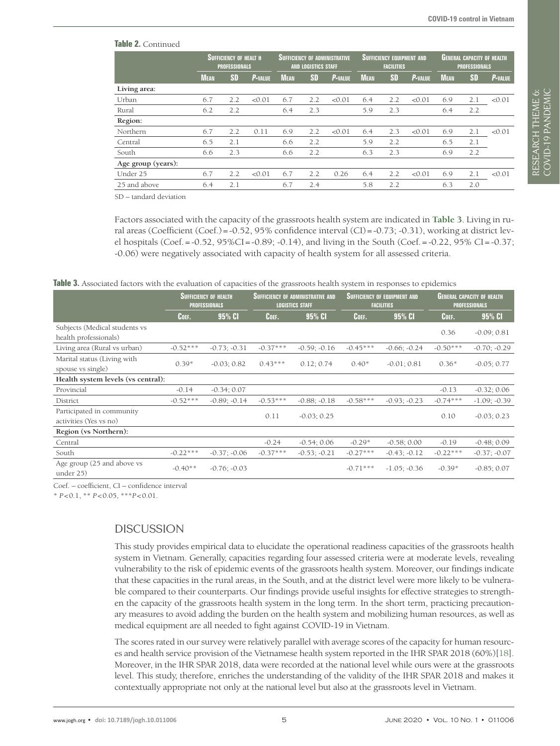RESEARCH THEME 6: VIEWPOINTS COVID-19 PANDEMIC

RESEARCH THEME 6:<br>COVID-19 PANDEMIC

| <b>latile 2.</b> Continued |                                                       |           |                                                                     |             |     |                                                       |             |           |                                                           |             |           |                |
|----------------------------|-------------------------------------------------------|-----------|---------------------------------------------------------------------|-------------|-----|-------------------------------------------------------|-------------|-----------|-----------------------------------------------------------|-------------|-----------|----------------|
|                            | <b>SUFFICIENCY OF HEALT H</b><br><b>PROFESSIONALS</b> |           | <u>Sufficiency of Administrative,</u><br><b>AND LOGISTICS STAFF</b> |             |     | <b>SUFFICIENCY EQUIPMENT AND</b><br><b>FACILITIES</b> |             |           | <b>GENERAL CAPACITY OF HEALTH</b><br><b>PROFESSIONALS</b> |             |           |                |
|                            | <b>MEAN</b>                                           | <b>SD</b> | <b>P-VALUE</b>                                                      | <b>MEAN</b> | SD  | <b>P-VALUE</b>                                        | <b>MEAN</b> | <b>SD</b> | <b>P-VALUE</b>                                            | <b>MEAN</b> | <b>SD</b> | <b>P-VALUE</b> |
| Living area:               |                                                       |           |                                                                     |             |     |                                                       |             |           |                                                           |             |           |                |
| Urban                      | 6.7                                                   | 2.2       | < 0.01                                                              | 6.7         | 2.2 | < 0.01                                                | 6.4         | 2.2       | < 0.01                                                    | 6.9         | 2.1       | < 0.01         |
| Rural                      | 6.2                                                   | 2.2       |                                                                     | 6.4         | 2.3 |                                                       | 5.9         | 2.3       |                                                           | 6.4         | 2.2       |                |
| Region:                    |                                                       |           |                                                                     |             |     |                                                       |             |           |                                                           |             |           |                |
| Northern                   | 6.7                                                   | 2.2       | 0.11                                                                | 6.9         | 2.2 | < 0.01                                                | 6.4         | 2.3       | < 0.01                                                    | 6.9         | 2.1       | < 0.01         |
| Central                    | 6.5                                                   | 2.1       |                                                                     | 6.6         | 2.2 |                                                       | 5.9         | 2.2       |                                                           | 6.5         | 2.1       |                |
| South                      | 6.6                                                   | 2.3       |                                                                     | 6.6         | 2.2 |                                                       | 6.3         | 2.3       |                                                           | 6.9         | 2.2       |                |
| Age group (years):         |                                                       |           |                                                                     |             |     |                                                       |             |           |                                                           |             |           |                |
| Under 25                   | 6.7                                                   | 2.2       | < 0.01                                                              | 6.7         | 2.2 | 0.26                                                  | 6.4         | 2.2       | < 0.01                                                    | 6.9         | 2.1       | < 0.01         |
| 25 and above               | 6.4                                                   | 2.1       |                                                                     | 6.7         | 2.4 |                                                       | 5.8         | 2.2       |                                                           | 6.3         | 2.0       |                |

SD – tandard deviation

**Table 2.** Continued

Factors associated with the capacity of the grassroots health system are indicated in **[Table](#page-4-0) 3**. Living in rural areas (Coefficient (Coef.)=-0.52, 95% confidence interval (CI)=-0.73; -0.31), working at district level hospitals (Coef.=-0.52, 95%CI=-0.89; -0.14), and living in the South (Coef.=-0.22, 95% CI=-0.37; -0.06) were negatively associated with capacity of health system for all assessed criteria.

<span id="page-4-0"></span>**Table 3.** Associated factors with the evaluation of capacities of the grassroots health system in responses to epidemics

|                                         | <b>SUFFICIENCY OF HEALTH</b><br><b>PROFESSIONALS</b> |                |            | <b>SUFFICIENCY OF ADMINISTRATIVE AND</b><br><b>LOGISTICS STAFF</b> |            | <b>SUFFICIENCY OF EQUIPMENT AND</b><br><b>FACILITIES</b> | <b>GENERAL CAPACITY OF HEALTH</b><br><b>PROFESSIONALS</b> |                |  |
|-----------------------------------------|------------------------------------------------------|----------------|------------|--------------------------------------------------------------------|------------|----------------------------------------------------------|-----------------------------------------------------------|----------------|--|
|                                         | COEF.                                                | <b>95% CI</b>  | COEF.      | <b>95% CI</b>                                                      | COEF.      | 95% CI                                                   | COEF.                                                     | 95% CI         |  |
| Subjects (Medical students vs           |                                                      |                |            |                                                                    |            |                                                          | 0.36                                                      | $-0.09; 0.81$  |  |
| health professionals)                   |                                                      |                |            |                                                                    |            |                                                          |                                                           |                |  |
| Living area (Rural vs urban)            | $-0.52***$                                           | $-0.73; -0.31$ | $-0.37***$ | $-0.59; -0.16$                                                     | $-0.45***$ | $-0.66; -0.24$                                           | $-0.50***$                                                | $-0.70; -0.29$ |  |
| Marital status (Living with             | $0.39*$                                              | $-0.03; 0.82$  | $0.43***$  | 0.12; 0.74                                                         | $0.40*$    | $-0.01; 0.81$                                            |                                                           | $-0.05; 0.77$  |  |
| spouse vs single)                       |                                                      |                |            |                                                                    |            |                                                          | $0.36*$                                                   |                |  |
| Health system levels (vs central):      |                                                      |                |            |                                                                    |            |                                                          |                                                           |                |  |
| Provincial                              | $-0.14$                                              | $-0.34; 0.07$  |            |                                                                    |            |                                                          | $-0.13$                                                   | $-0.32; 0.06$  |  |
| District                                | $-0.52***$                                           | $-0.89; -0.14$ | $-0.53***$ | $-0.88; -0.18$                                                     | $-0.58***$ | $-0.93; -0.23$                                           | $-0.74***$                                                | $-1.09; -0.39$ |  |
| Participated in community               |                                                      |                | 0.11       | $-0.03; 0.25$                                                      |            |                                                          | 0.10                                                      | $-0.03; 0.23$  |  |
| activities (Yes vs no)                  |                                                      |                |            |                                                                    |            |                                                          |                                                           |                |  |
| Region (vs Northern):                   |                                                      |                |            |                                                                    |            |                                                          |                                                           |                |  |
| Central                                 |                                                      |                | $-0.24$    | $-0.54; 0.06$                                                      | $-0.29*$   | $-0.58; 0.00$                                            | $-0.19$                                                   | $-0.48; 0.09$  |  |
| South                                   | $-0.22***$                                           | $-0.37; -0.06$ | $-0.37***$ | $-0.53; -0.21$                                                     | $-0.27***$ | $-0.43; -0.12$                                           | $-0.22***$                                                | $-0.37; -0.07$ |  |
| Age group (25 and above vs<br>under 25) | $-0.40**$                                            | $-0.76; -0.03$ |            |                                                                    | $-0.71***$ | $-1.05; -0.36$                                           | $-0.39*$                                                  | $-0.85; 0.07$  |  |

Coef. – coefficient, CI – confidence interval

\* *P*<0.1, \*\* *P*<0.05, \*\*\**P*<0.01.

## DISCUSSION

This study provides empirical data to elucidate the operational readiness capacities of the grassroots health system in Vietnam. Generally, capacities regarding four assessed criteria were at moderate levels, revealing vulnerability to the risk of epidemic events of the grassroots health system. Moreover, our findings indicate that these capacities in the rural areas, in the South, and at the district level were more likely to be vulnerable compared to their counterparts. Our findings provide useful insights for effective strategies to strengthen the capacity of the grassroots health system in the long term. In the short term, practicing precautionary measures to avoid adding the burden on the health system and mobilizing human resources, as well as medical equipment are all needed to fight against COVID-19 in Vietnam.

The scores rated in our survey were relatively parallel with average scores of the capacity for human resources and health service provision of the Vietnamese health system reported in the IHR SPAR 2018 (60%)[[18](#page-6-12)]. Moreover, in the IHR SPAR 2018, data were recorded at the national level while ours were at the grassroots level. This study, therefore, enriches the understanding of the validity of the IHR SPAR 2018 and makes it contextually appropriate not only at the national level but also at the grassroots level in Vietnam.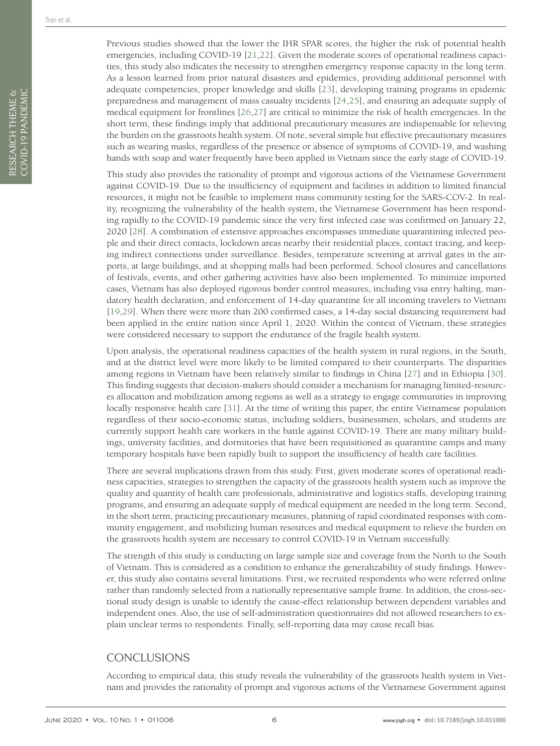Previous studies showed that the lower the IHR SPAR scores, the higher the risk of potential health emergencies, including COVID-19 [\[21,](#page-7-1)[22](#page-7-2)]. Given the moderate scores of operational readiness capacities, this study also indicates the necessity to strengthen emergency response capacity in the long term. As a lesson learned from prior natural disasters and epidemics, providing additional personnel with adequate competencies, proper knowledge and skills [\[23\]](#page-7-3), developing training programs in epidemic preparedness and management of mass casualty incidents [[24](#page-7-4),[25](#page-7-5)], and ensuring an adequate supply of medical equipment for frontlines [[26](#page-7-6),[27](#page-7-7)] are critical to minimize the risk of health emergencies. In the short term, these findings imply that additional precautionary measures are indispensable for relieving the burden on the grassroots health system. Of note, several simple but effective precautionary measures such as wearing masks, regardless of the presence or absence of symptoms of COVID-19, and washing hands with soap and water frequently have been applied in Vietnam since the early stage of COVID-19.

This study also provides the rationality of prompt and vigorous actions of the Vietnamese Government against COVID-19. Due to the insufficiency of equipment and facilities in addition to limited financial resources, it might not be feasible to implement mass community testing for the SARS-COV-2. In reality, recognizing the vulnerability of the health system, the Vietnamese Government has been responding rapidly to the COVID-19 pandemic since the very first infected case was confirmed on January 22, 2020 [\[28\]](#page-7-8). A combination of extensive approaches encompasses immediate quarantining infected people and their direct contacts, lockdown areas nearby their residential places, contact tracing, and keeping indirect connections under surveillance. Besides, temperature screening at arrival gates in the airports, at large buildings, and at shopping malls had been performed. School closures and cancellations of festivals, events, and other gathering activities have also been implemented. To minimize imported cases, Vietnam has also deployed rigorous border control measures, including visa entry halting, mandatory health declaration, and enforcement of 14-day quarantine for all incoming travelers to Vietnam [[19,](#page-6-13)[29](#page-7-9)]. When there were more than 200 confirmed cases, a 14-day social distancing requirement had been applied in the entire nation since April 1, 2020. Within the context of Vietnam, these strategies were considered necessary to support the endurance of the fragile health system.

Upon analysis, the operational readiness capacities of the health system in rural regions, in the South, and at the district level were more likely to be limited compared to their counterparts. The disparities among regions in Vietnam have been relatively similar to findings in China [\[27](#page-7-7)] and in Ethiopia [[30](#page-7-10)]. This finding suggests that decision-makers should consider a mechanism for managing limited-resources allocation and mobilization among regions as well as a strategy to engage communities in improving locally responsive health care [\[31](#page-7-11)]. At the time of writing this paper, the entire Vietnamese population regardless of their socio-economic status, including soldiers, businessmen, scholars, and students are currently support health care workers in the battle against COVID-19. There are many military buildings, university facilities, and dormitories that have been requisitioned as quarantine camps and many temporary hospitals have been rapidly built to support the insufficiency of health care facilities.

There are several implications drawn from this study. First, given moderate scores of operational readiness capacities, strategies to strengthen the capacity of the grassroots health system such as improve the quality and quantity of health care professionals, administrative and logistics staffs, developing training programs, and ensuring an adequate supply of medical equipment are needed in the long term. Second, in the short term, practicing precautionary measures, planning of rapid coordinated responses with community engagement, and mobilizing human resources and medical equipment to relieve the burden on the grassroots health system are necessary to control COVID-19 in Vietnam successfully.

The strength of this study is conducting on large sample size and coverage from the North to the South of Vietnam. This is considered as a condition to enhance the generalizability of study findings. However, this study also contains several limitations. First, we recruited respondents who were referred online rather than randomly selected from a nationally representative sample frame. In addition, the cross-sectional study design is unable to identify the cause-effect relationship between dependent variables and independent ones. Also, the use of self-administration questionnaires did not allowed researchers to explain unclear terms to respondents. Finally, self-reporting data may cause recall bias.

#### **CONCLUSIONS**

According to empirical data, this study reveals the vulnerability of the grassroots health system in Vietnam and provides the rationality of prompt and vigorous actions of the Vietnamese Government against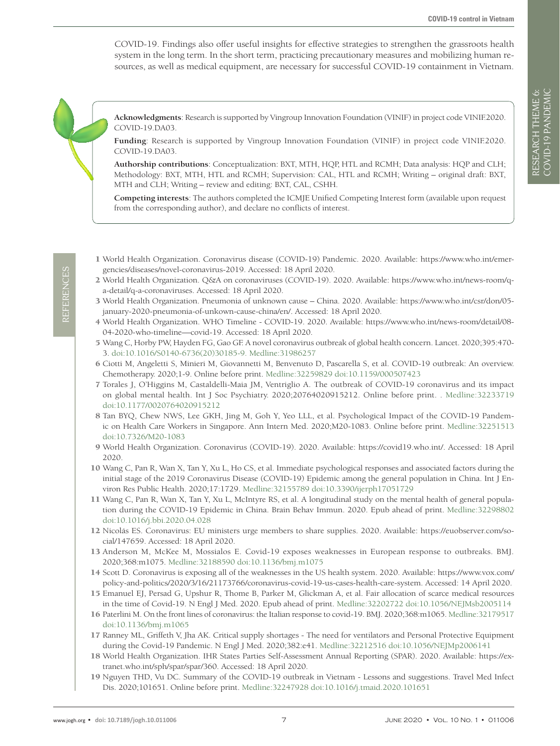COVID-19. Findings also offer useful insights for effective strategies to strengthen the grassroots health system in the long term. In the short term, practicing precautionary measures and mobilizing human resources, as well as medical equipment, are necessary for successful COVID-19 containment in Vietnam.

**Acknowledgments**: Research is supported by Vingroup Innovation Foundation (VINIF) in project code VINIF.2020. COVID-19.DA03.

**Funding**: Research is supported by Vingroup Innovation Foundation (VINIF) in project code VINIF.2020. COVID-19.DA03.

**Authorship contributions**: Conceptualization: BXT, MTH, HQP, HTL and RCMH; Data analysis: HQP and CLH; Methodology: BXT, MTH, HTL and RCMH; Supervision: CAL, HTL and RCMH; Writing – original draft: BXT, MTH and CLH; Writing – review and editing: BXT, CAL, CSHH.

**Competing interests**: The authors completed the ICMJE Unified Competing Interest form (available upon request from the corresponding author), and declare no conflicts of interest.

- <span id="page-6-0"></span>1 World Health Organization. Coronavirus disease (COVID-19) Pandemic. 2020. Available: https://www.who.int/emergencies/diseases/novel-coronavirus-2019. Accessed: 18 April 2020.
- <span id="page-6-1"></span>2 World Health Organization. Q&A on coronaviruses (COVID-19). 2020. Available: https://www.who.int/news-room/qa-detail/q-a-coronaviruses. Accessed: 18 April 2020.
- <span id="page-6-2"></span>3 World Health Organization. Pneumonia of unknown cause – China. 2020. Available: https://www.who.int/csr/don/05 january-2020-pneumonia-of-unkown-cause-china/en/. Accessed: 18 April 2020.
- <span id="page-6-3"></span>4 World Health Organization. WHO Timeline - COVID-19. 2020. Available: https://www.who.int/news-room/detail/08- 04-2020-who-timeline—covid-19. Accessed: 18 April 2020.
- <span id="page-6-4"></span>5 Wang C, Horby PW, Hayden FG, Gao GF. A novel coronavirus outbreak of global health concern. Lancet. 2020;395:470- 3. [doi:10.1016/S0140-6736\(20\)30185-9](https://doi.org/10.1016/S0140-6736(20)30185-9). [Medline:31986257](https://www.ncbi.nlm.nih.gov/entrez/query.fcgi?cmd=Retrieve&db=PubMed&list_uids=31986257&dopt=Abstract)
- 6 Ciotti M, Angeletti S, Minieri M, Giovannetti M, Benvenuto D, Pascarella S, et al. COVID-19 outbreak: An overview. Chemotherapy. 2020;1-9. Online before print[. Medline:32259829](https://www.ncbi.nlm.nih.gov/entrez/query.fcgi?cmd=Retrieve&db=PubMed&list_uids=32259829&dopt=Abstract) [doi:10.1159/000507423](https://doi.org/10.1159/000507423)
- 7 Torales J, O'Higgins M, Castaldelli-Maia JM, Ventriglio A. The outbreak of COVID-19 coronavirus and its impact on global mental health. Int J Soc Psychiatry. 2020;20764020915212. Online before print. . [Medline:32233719](https://www.ncbi.nlm.nih.gov/entrez/query.fcgi?cmd=Retrieve&db=PubMed&list_uids=32233719&dopt=Abstract) [doi:10.1177/0020764020915212](https://doi.org/10.1177/0020764020915212)
- 8 Tan BYQ, Chew NWS, Lee GKH, Jing M, Goh Y, Yeo LLL, et al. Psychological Impact of the COVID-19 Pandemic on Health Care Workers in Singapore. Ann Intern Med. 2020;M20-1083. Online before print. [Medline:32251513](https://www.ncbi.nlm.nih.gov/entrez/query.fcgi?cmd=Retrieve&db=PubMed&list_uids=32251513&dopt=Abstract) [doi:10.7326/M20-1083](https://doi.org/10.7326/M20-1083)
- <span id="page-6-5"></span>9 World Health Organization. Coronavirus (COVID-19). 2020. Available: https://covid19.who.int/. Accessed: 18 April 2020.
- <span id="page-6-6"></span>10 Wang C, Pan R, Wan X, Tan Y, Xu L, Ho CS, et al. Immediate psychological responses and associated factors during the initial stage of the 2019 Coronavirus Disease (COVID-19) Epidemic among the general population in China. Int J Environ Res Public Health. 2020;17:1729[. Medline:32155789](https://www.ncbi.nlm.nih.gov/entrez/query.fcgi?cmd=Retrieve&db=PubMed&list_uids=32155789&dopt=Abstract) [doi:10.3390/ijerph17051729](https://doi.org/10.3390/ijerph17051729)
- <span id="page-6-7"></span>11 Wang C, Pan R, Wan X, Tan Y, Xu L, McIntyre RS, et al. A longitudinal study on the mental health of general population during the COVID-19 Epidemic in China. Brain Behav Immun. 2020. Epub ahead of print. [Medline:32298802](https://www.ncbi.nlm.nih.gov/entrez/query.fcgi?cmd=Retrieve&db=PubMed&list_uids=32298802&dopt=Abstract) [doi:10.1016/j.bbi.2020.04.028](https://doi.org/10.1016/j.bbi.2020.04.028)
- <span id="page-6-8"></span>12 Nicolás ES. Coronavirus: EU ministers urge members to share supplies. 2020. Available: https://euobserver.com/social/147659. Accessed: 18 April 2020.
- 13 Anderson M, McKee M, Mossialos E. Covid-19 exposes weaknesses in European response to outbreaks. BMJ. 2020;368:m1075. [Medline:32188590](https://www.ncbi.nlm.nih.gov/entrez/query.fcgi?cmd=Retrieve&db=PubMed&list_uids=32188590&dopt=Abstract) [doi:10.1136/bmj.m1075](https://doi.org/10.1136/bmj.m1075)
- <span id="page-6-9"></span>14 Scott D. Coronavirus is exposing all of the weaknesses in the US health system. 2020. Available: https://www.vox.com/ policy-and-politics/2020/3/16/21173766/coronavirus-covid-19-us-cases-health-care-system. Accessed: 14 April 2020.
- <span id="page-6-10"></span>15 Emanuel EJ, Persad G, Upshur R, Thome B, Parker M, Glickman A, et al. Fair allocation of scarce medical resources in the time of Covid-19. N Engl J Med. 2020. Epub ahead of print[. Medline:32202722](https://www.ncbi.nlm.nih.gov/entrez/query.fcgi?cmd=Retrieve&db=PubMed&list_uids=32202722&dopt=Abstract) [doi:10.1056/NEJMsb2005114](https://doi.org/10.1056/NEJMsb2005114)
- 16 Paterlini M. On the front lines of coronavirus: the Italian response to covid-19. BMJ. 2020;368:m1065[. Medline:32179517](https://www.ncbi.nlm.nih.gov/entrez/query.fcgi?cmd=Retrieve&db=PubMed&list_uids=32179517&dopt=Abstract) [doi:10.1136/bmj.m1065](https://doi.org/10.1136/bmj.m1065)
- <span id="page-6-11"></span>17 Ranney ML, Griffeth V, Jha AK. Critical supply shortages - The need for ventilators and Personal Protective Equipment during the Covid-19 Pandemic. N Engl J Med. 2020;382:e41. [Medline:32212516](https://www.ncbi.nlm.nih.gov/entrez/query.fcgi?cmd=Retrieve&db=PubMed&list_uids=32212516&dopt=Abstract) [doi:10.1056/NEJMp2006141](https://doi.org/10.1056/NEJMp2006141)
- <span id="page-6-12"></span>18 World Health Organization. IHR States Parties Self-Assessment Annual Reporting (SPAR). 2020. Available: https://extranet.who.int/sph/spar/spar/360. Accessed: 18 April 2020.
- <span id="page-6-13"></span>19 Nguyen THD, Vu DC. Summary of the COVID-19 outbreak in Vietnam - Lessons and suggestions. Travel Med Infect Dis. 2020;101651. Online before print[. Medline:32247928](https://www.ncbi.nlm.nih.gov/entrez/query.fcgi?cmd=Retrieve&db=PubMed&list_uids=32247928&dopt=Abstract) [doi:10.1016/j.tmaid.2020.101651](https://doi.org/10.1016/j.tmaid.2020.101651)